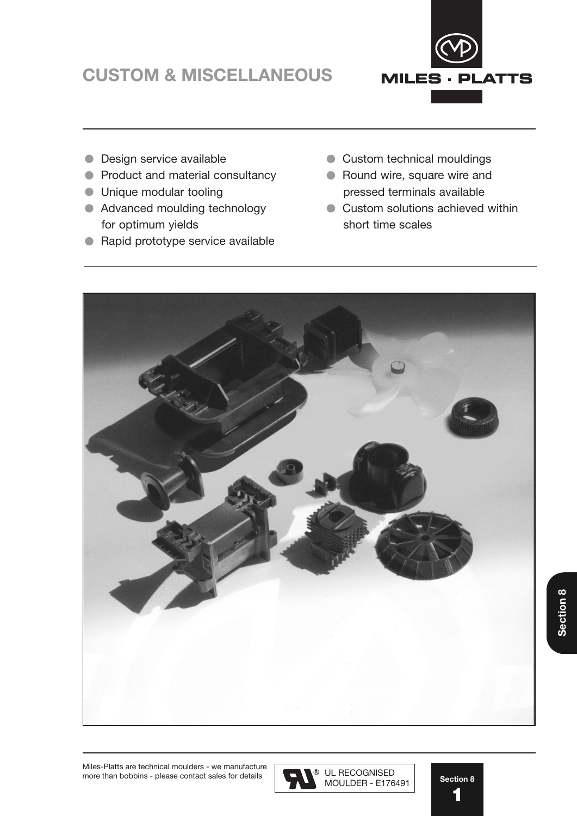# **CUSTOM & MISCELLANEOUS** CUSTOM & MISCELLANEOUS



- **Design service available**
- **Product and material consultancy**
- **ID** Unique modular tooling
- Advanced moulding technology for optimum yields
- **Rapid prototype service available**
- **Custom technical mouldings**
- Round wire, square wire and pressed terminals available
- Custom solutions achieved within short time scales



**Section 8**

Section 8

**Section 8**

**1** 1

Miles-Platts are technical moulders - we manufacture  $\sqrt{\phantom{a}}$ more than bobbins - please contact sales for details Manual 7 Manual 2009 MOULDER - E176491 more than bobbins - please contact sales for details

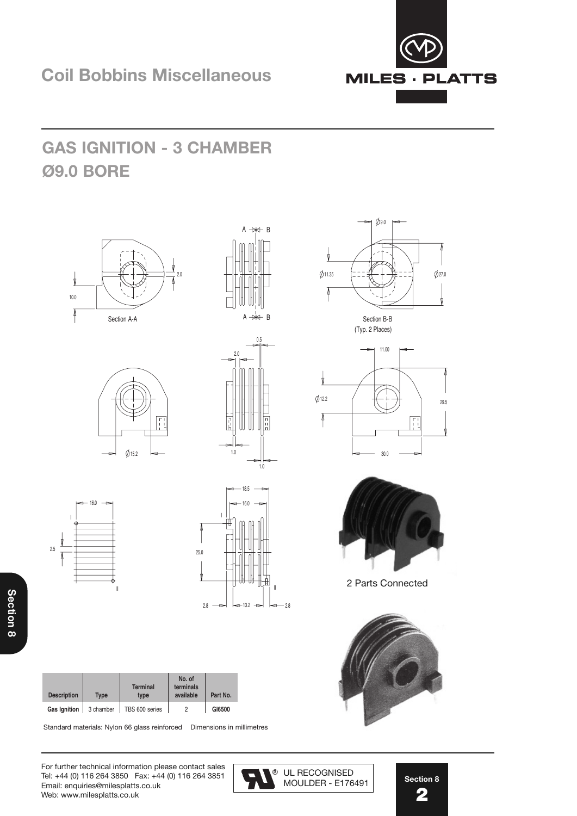

## **GAS IGNITION - 3 CHAMBER Ø9.0 BORE**















 $\phi$ 9.0







2 Parts Connected

Standard materials: Nylon 66 glass reinforced Dimensions in millimetres

For further technical information please contact sales  $\sqrt{\phantom{a}}\phantom{a}$ Tel: +44 (0) 116 264 3850 Fax: +44 (0) 116 264 3851  $\Box$ Email: enquiries@milesplatts.co.uk and a please refer to website for the set of to website for details. Web: www.milesplatts.co.uk



**MOULDER - E176491** 

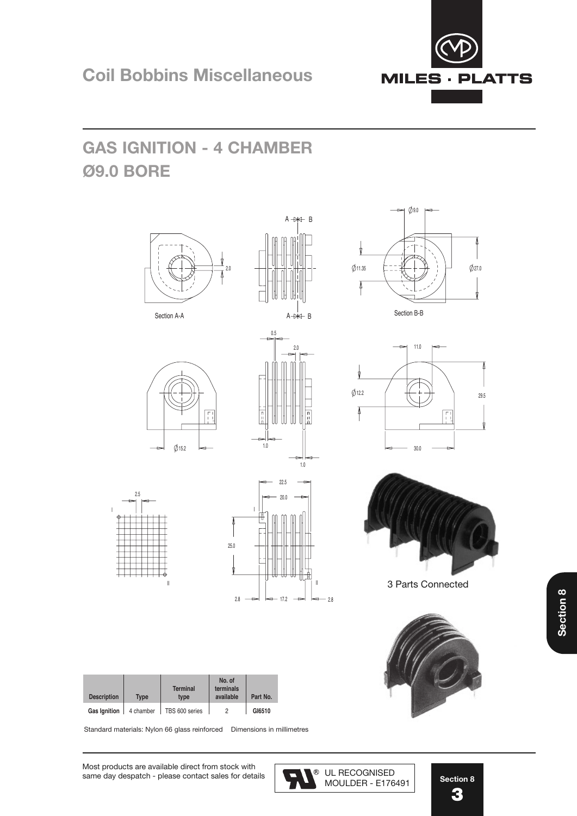## GAS IGNITION - 4 CHAMBER **Ø9.0 BORE**



**Gas Ignition** 4 chamber TBS 600 series 2 **No. of**  $\overline{a}$ 

Standard materials: Nylon 66 glass reinforced Dimensions in millimetres



 $0.0$ 





3 Parts Connected





UL RECOGNISED MOULDER - E176491

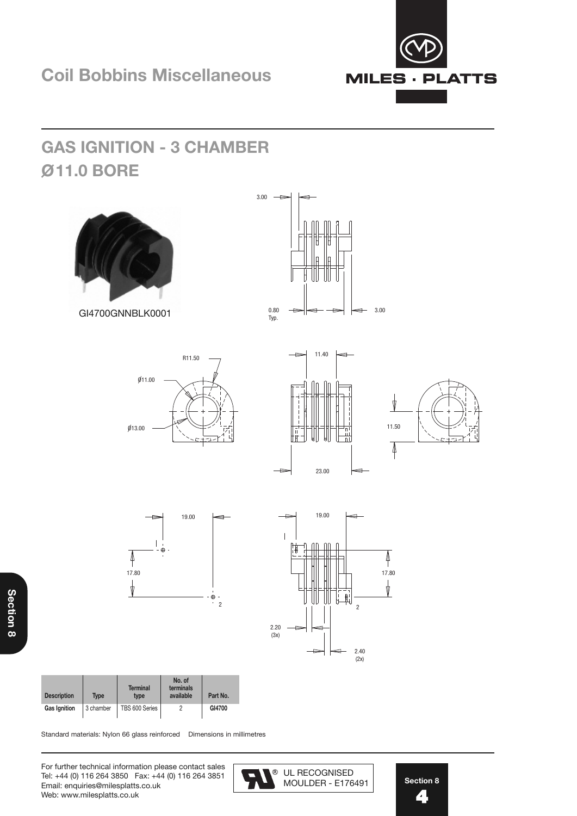

# **GAS IGNITION - 3 CHAMBER GAS IGNITION - 3 CHAMBER O11.0 BORE Ø9.0 BORE**















| <b>Description</b> | Type      | <b>Terminal</b><br>type | No. of<br>terminals<br>available | Part No. |
|--------------------|-----------|-------------------------|----------------------------------|----------|
| Gas Ignition       | 3 chamber | TBS 600 Series          |                                  | GI4700   |

Standard materials: Nylon 66 glass reinforced Dimensions in millimetres

For further technical information please contact sales Tel: +44 (0) 116 264 3850 Fax: +44 (0) 116 264 3851 Email: enquiries@milesplatts.co.uk Web: www.milesplatts.co.uk

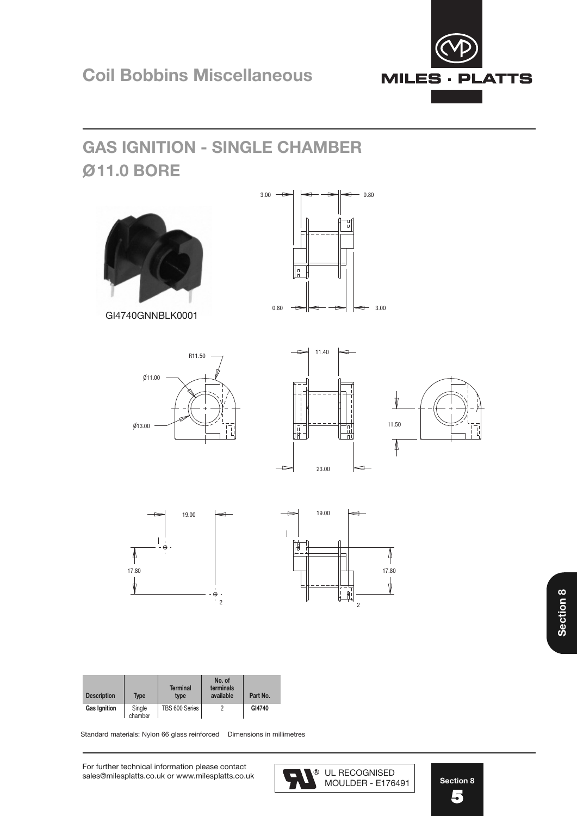

Standard materials: Nylon 66 glass reinforced Dimensions in millimetres

For further technical information please contact sales@milesplatts.co.uk or www.milesplatts.co.uk UL RECOGNISED  $R_{\text{R}}$ 

<sup>®</sup> UL RECOGNISED<br>MOULDER - E176491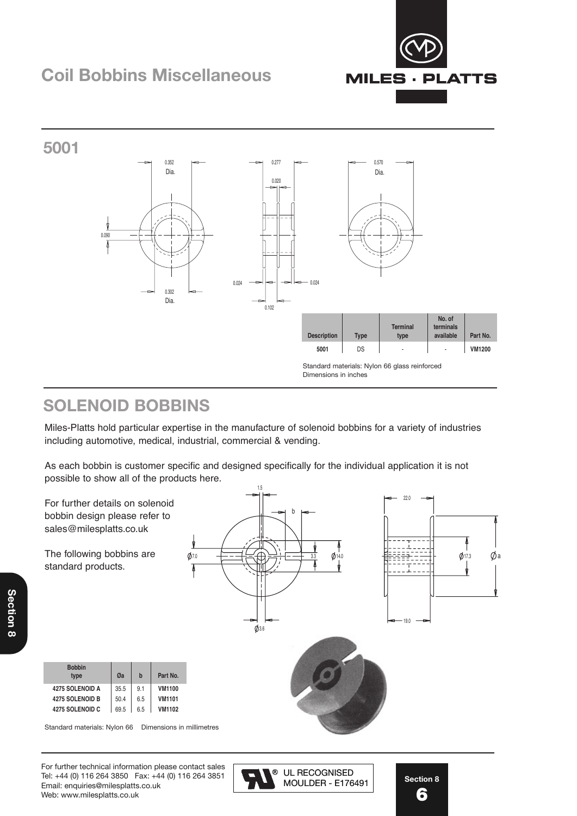### **Coil Bobbins Miscellaneous**





#### **SOLENOID BOBBINS**

Miles-Platts hold particular expertise in the manufacture of solenoid bobbins for a variety of industries including automotive, medical, industrial, commercial & vending.

As each bobbin is customer specific and designed specifically for the individual application it is not possible to show all of the products here.



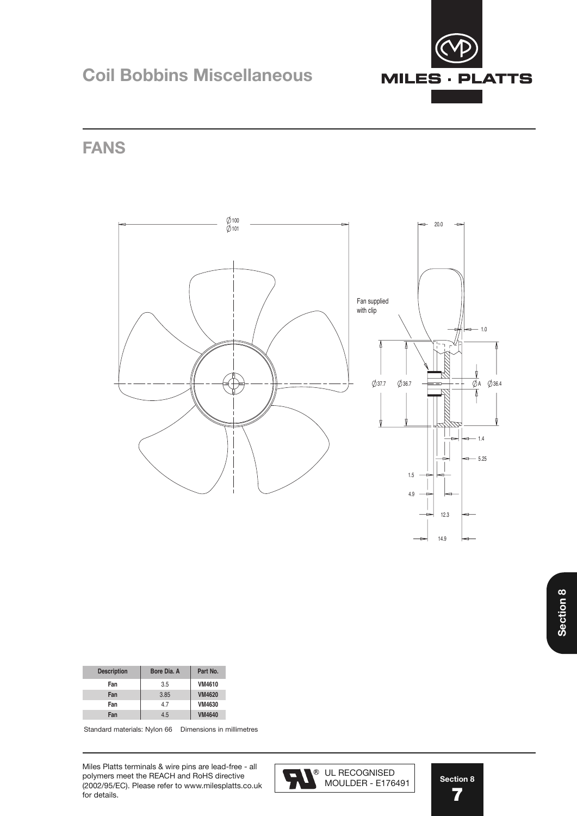

### **Coil Bobbins Miscellaneous**

**FANS**



| <b>Description</b> | Bore Dia, A | Part No.      |
|--------------------|-------------|---------------|
| Fan                | 3.5         | VM4610        |
| Fan                | 3.85        | <b>VM4620</b> |
| Fan                | 47          | VM4630        |
| Fan                | 4.5         | <b>VM4640</b> |

Standard materials: Nylon 66 Dimensions in millimetres

Miles Platts terminals & wire pins are lead-free - all polymers meet the REACH and RoHS directive (2002/95/EC). Please refer to www.milesplatts.co.uk for details.



**Section 8 7** 5

14.9